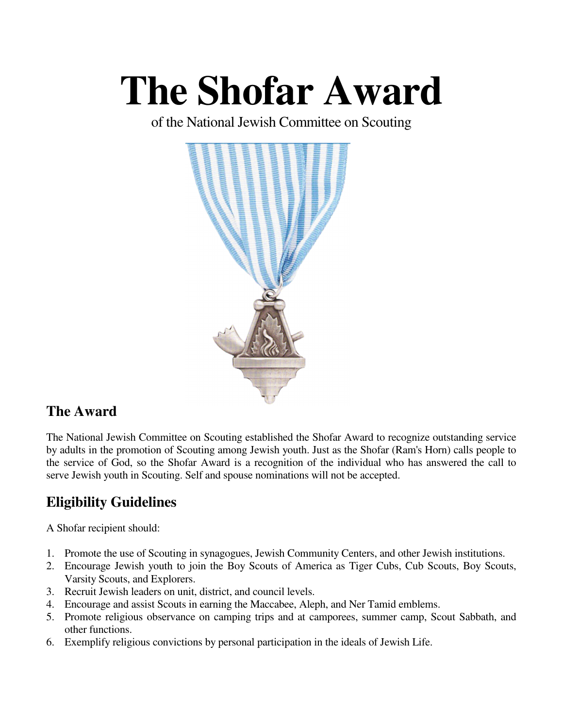# **The Shofar Award**

of the National Jewish Committee on Scouting



# **The Award**

The National Jewish Committee on Scouting established the Shofar Award to recognize outstanding service by adults in the promotion of Scouting among Jewish youth. Just as the Shofar (Ram's Horn) calls people to the service of God, so the Shofar Award is a recognition of the individual who has answered the call to serve Jewish youth in Scouting. Self and spouse nominations will not be accepted.

# **Eligibility Guidelines**

A Shofar recipient should:

- 1. Promote the use of Scouting in synagogues, Jewish Community Centers, and other Jewish institutions.
- 2. Encourage Jewish youth to join the Boy Scouts of America as Tiger Cubs, Cub Scouts, Boy Scouts, Varsity Scouts, and Explorers.
- 3. Recruit Jewish leaders on unit, district, and council levels.
- 4. Encourage and assist Scouts in earning the Maccabee, Aleph, and Ner Tamid emblems.
- 5. Promote religious observance on camping trips and at camporees, summer camp, Scout Sabbath, and other functions.
- 6. Exemplify religious convictions by personal participation in the ideals of Jewish Life.